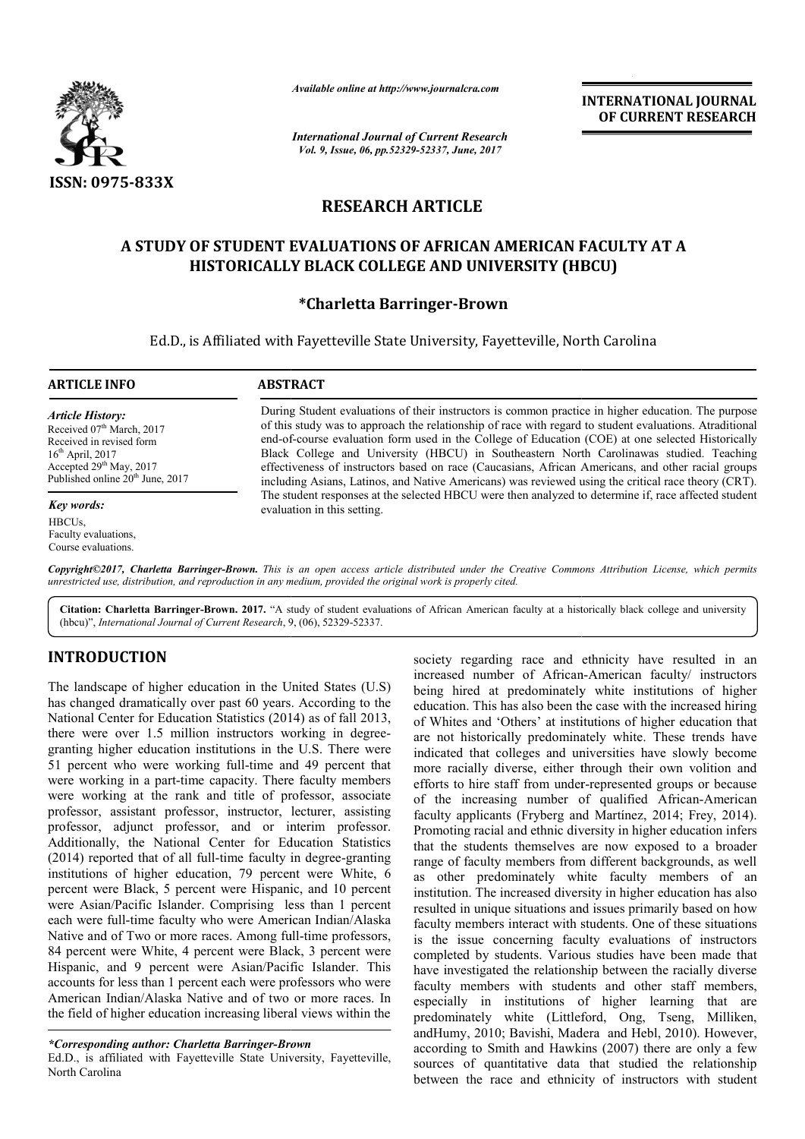

*Available online at http://www.journalcra.com*

*International Journal of Current Research Vol. 9, Issue, 06, pp.52329-52337, June, 2017*

**INTERNATIONAL JOURNAL OF CURRENT RESEARCH** 

# **RESEARCH ARTICLE**

# **A STUDY OF STUDENT EVALUATIONS OF AFRICAN AMERICAN FACULTY AT A OF AFRICAN AMERICAN HISTORICALLY BLACK COLLEGE AND UNIVERSITY (HBCU)**

# **\*Charletta Barringer-Brown**

Ed.D., is Affiliated with Fayetteville State University, Fayetteville, North Carolina

# **ARTICLE INFO ABSTRACT**

*Article History:* Received 07<sup>th</sup> March, 2017 Received in revised form  $16<sup>th</sup>$  April, 2017 Accepted 29<sup>th</sup> May, 2017 Published online 20<sup>th</sup> June, 2017

*Key words:* HBCUs, Faculty evaluations, Course evaluations.

During Student evaluations of their instructors is common practice in higher education. The purpose of this study was to approach the relationship of race with regard to student evaluations. Atraditional end-of-course evaluation form used in the College of Education (COE) at one selected Historically Black College and University (HBCU) in Southeastern North Carolinawas studied. Teaching effectiveness of instructors based on race (Caucasians, African Americans, and other racial groups including Asians, Latinos, and Native Americans) was reviewed using the critical race theory (CRT). The student responses at the selected HBCU were then analyzed to determine if, race affected student evaluation in this setting. their instructors is common practice in higher education. The purpose<br>the relationship of race with regard to student evaluations. Atraditional<br>used in the College of Education (COE) at one selected Historically<br>y (HBCU) i

*Copyright©2017, Charletta Barringer-Brown. This is an open access article distributed under the Creative Commons Att Attribution License, which permits unrestricted use, distribution, and reproduction in any medium, provided the original work is properly cited.*

Citation: Charletta Barringer-Brown. 2017. "A study of student evaluations of African American faculty at a historically black college and university (hbcu)", *International Journal of Current Research*, 9, (06), 52329-52337.

# **INTRODUCTION**

The landscape of higher education in the United States (U.S) has changed dramatically over past 60 years. According to the National Center for Education Statistics (2014) as of fall 2013, there were over 1.5 million instructors working in degreegranting higher education institutions in the U.S. There were 51 percent who were working full-time and 49 percent that were working in a part-time capacity. There faculty members were working at the rank and title of professor, associate professor, assistant professor, instructor, lecturer, assisting professor, adjunct professor, and or interim professor. Additionally, the National Center for Education Statistics (2014) reported that of all full-time faculty in degree-granting institutions of higher education, 79 percent were White, 6 percent were Black, 5 percent were Hispanic, and 10 percent were Asian/Pacific Islander. Comprising less than 1 percent each were full-time faculty who were American Indian/Alaska each were full-time faculty who were American Indian/Alaska<br>Native and of Two or more races. Among full-time professors, 84 percent were White, 4 percent were Black, 3 percent were Hispanic, and 9 percent were Asian/Pacific Islander. This accounts for less than 1 percent each were professors who were American Indian/Alaska Native and of two or more races. In the field of higher education increasing liberal views within the on institutions in the U.S. There were<br>working full-time and 49 percent that<br>-time capacity. There faculty members<br>rank and title of professor, associate<br>ofessor, instructor, lecturer, assisting<br>ofessor, and or interim pro

Ed.D., is affiliated with Fayetteville State University, Fayetteville, North Carolina

society regarding race and ethnicity have resulted in an<br>
Increased unmber of African-American faulty instructors<br>
3. According to the education. This has also been the case with the increased hiring<br>
2014) as of fall 2013 society regarding race and ethnicity have resulted in an increased number of African-American faculty/ instructors being hired at predominately white institutions of higher education. This has also been the case with the increased hiring of Whites and 'Others' at institutions of higher education that being hired at predominately white institutions of higher education. This has also been the case with the increased hiring of Whites and 'Others' at institutions of higher education that are not historically predominately indicated that colleges and universities have slowly become more racially diverse, either through their own volition and efforts to hire staff from under-represented groups or because of the increasing number of qualified A African-American faculty applicants (Fryberg and Martínez, 2014; Frey, 2014). Promoting racial and ethnic diversity in higher education infers that the students themselves are now exposed to a broader range of faculty members from different backgrounds, as well as other predominately white faculty members of an institution. The increased diversity in higher education has also resulted in unique situations and issues primarily based on how faculty members interact with students. One of these situations is the issue concerning faculty evaluations of instructors completed by students. Various studies have been made that have investigated the relationship between the racially diverse faculty members with students and other staff members, institution. The increased diversity in higher education has also resulted in unique situations and issues primarily based on how faculty members interact with students. One of these situations is the issue concerning facu predominately white (Littleford, Ong, Tseng, Milliken, andHumy, 2010; Bavishi, Madera and Hebl, 2010). However, according to Smith and Hawkins (2007) (2007) there are only a few sources of quantitative data that studied the relationship between the race and ethnicity of instructors with student ted that colleges and universities have slowly become racially diverse, either through their own volition and<br>is to hire staff from under-represented groups or because racial and ethnic diversity in higher ed<br>udents themselves are now exposed<br>culty members from different backgro **INTERNATIONAL JOUENEL (Several Control Control Control Control Control Control Control Control Control Control Control Control Control Control Control Control Control Control Control Control Control Control Control Contr** 

*<sup>\*</sup>Corresponding author: Charletta Barringer-Brown*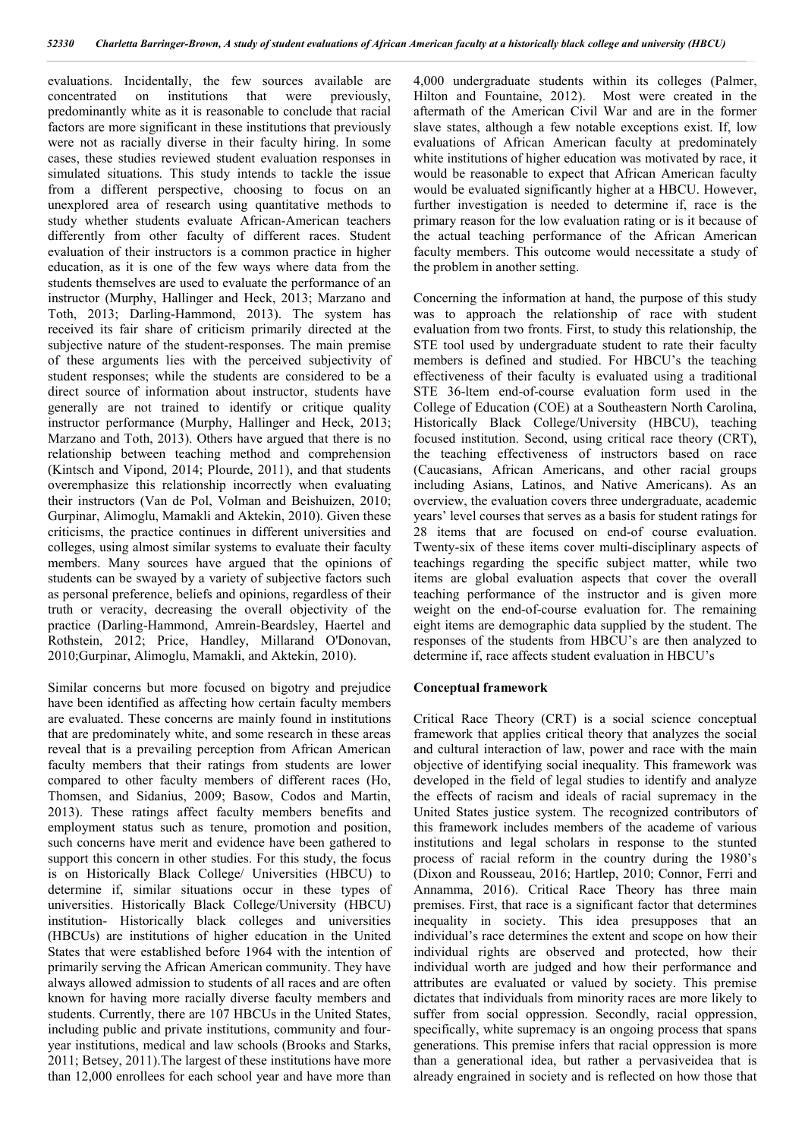evaluations. Incidentally, the few sources available are concentrated on institutions that were previously, predominantly white as it is reasonable to conclude that racial factors are more significant in these institutions that previously were not as racially diverse in their faculty hiring. In some cases, these studies reviewed student evaluation responses in simulated situations. This study intends to tackle the issue from a different perspective, choosing to focus on an unexplored area of research using quantitative methods to study whether students evaluate African-American teachers differently from other faculty of different races. Student evaluation of their instructors is a common practice in higher education, as it is one of the few ways where data from the students themselves are used to evaluate the performance of an instructor (Murphy, Hallinger and Heck, 2013; Marzano and Toth, 2013; Darling-Hammond, 2013). The system has received its fair share of criticism primarily directed at the subjective nature of the student-responses. The main premise of these arguments lies with the perceived subjectivity of student responses; while the students are considered to be a direct source of information about instructor, students have generally are not trained to identify or critique quality instructor performance (Murphy, Hallinger and Heck, 2013; Marzano and Toth, 2013). Others have argued that there is no relationship between teaching method and comprehension (Kintsch and Vipond, 2014; Plourde, 2011), and that students overemphasize this relationship incorrectly when evaluating their instructors (Van de Pol, Volman and Beishuizen, 2010; Gurpinar, Alimoglu, Mamakli and Aktekin, 2010). Given these criticisms, the practice continues in different universities and colleges, using almost similar systems to evaluate their faculty members. Many sources have argued that the opinions of students can be swayed by a variety of subjective factors such as personal preference, beliefs and opinions, regardless of their truth or veracity, decreasing the overall objectivity of the practice (Darling-Hammond, Amrein-Beardsley, Haertel and Rothstein, 2012; Price, Handley, Millarand O'Donovan, 2010;Gurpinar, Alimoglu, Mamakli, and Aktekin, 2010).

Similar concerns but more focused on bigotry and prejudice have been identified as affecting how certain faculty members are evaluated. These concerns are mainly found in institutions that are predominately white, and some research in these areas reveal that is a prevailing perception from African American faculty members that their ratings from students are lower compared to other faculty members of different races (Ho, Thomsen, and Sidanius, 2009; Basow, Codos and Martin, 2013). These ratings affect faculty members benefits and employment status such as tenure, promotion and position, such concerns have merit and evidence have been gathered to support this concern in other studies. For this study, the focus is on Historically Black College/ Universities (HBCU) to determine if, similar situations occur in these types of universities. Historically Black College/University (HBCU) institution- Historically black colleges and universities (HBCUs) are institutions of higher education in the United States that were established before 1964 with the intention of primarily serving the African American community. They have always allowed admission to students of all races and are often known for having more racially diverse faculty members and students. Currently, there are 107 HBCUs in the United States, including public and private institutions, community and fouryear institutions, medical and law schools (Brooks and Starks, 2011; Betsey, 2011).The largest of these institutions have more than 12,000 enrollees for each school year and have more than

4,000 undergraduate students within its colleges (Palmer, Hilton and Fountaine, 2012). Most were created in the aftermath of the American Civil War and are in the former slave states, although a few notable exceptions exist. If, low evaluations of African American faculty at predominately white institutions of higher education was motivated by race, it would be reasonable to expect that African American faculty would be evaluated significantly higher at a HBCU. However, further investigation is needed to determine if, race is the primary reason for the low evaluation rating or is it because of the actual teaching performance of the African American faculty members. This outcome would necessitate a study of the problem in another setting.

Concerning the information at hand, the purpose of this study was to approach the relationship of race with student evaluation from two fronts. First, to study this relationship, the STE tool used by undergraduate student to rate their faculty members is defined and studied. For HBCU's the teaching effectiveness of their faculty is evaluated using a traditional STE 36-ltem end-of-course evaluation form used in the College of Education (COE) at a Southeastern North Carolina, Historically Black College/University (HBCU), teaching focused institution. Second, using critical race theory (CRT), the teaching effectiveness of instructors based on race (Caucasians, African Americans, and other racial groups including Asians, Latinos, and Native Americans). As an overview, the evaluation covers three undergraduate, academic years' level courses that serves as a basis for student ratings for 28 items that are focused on end-of course evaluation. Twenty-six of these items cover multi-disciplinary aspects of teachings regarding the specific subject matter, while two items are global evaluation aspects that cover the overall teaching performance of the instructor and is given more weight on the end-of-course evaluation for. The remaining eight items are demographic data supplied by the student. The responses of the students from HBCU's are then analyzed to determine if, race affects student evaluation in HBCU's

# **Conceptual framework**

Critical Race Theory (CRT) is a social science conceptual framework that applies critical theory that analyzes the social and cultural interaction of law, power and race with the main objective of identifying social inequality. This framework was developed in the field of legal studies to identify and analyze the effects of racism and ideals of racial supremacy in the United States justice system. The recognized contributors of this framework includes members of the academe of various institutions and legal scholars in response to the stunted process of racial reform in the country during the 1980's (Dixon and Rousseau, 2016; Hartlep, 2010; Connor, Ferri and Annamma, 2016). Critical Race Theory has three main premises. First, that race is a significant factor that determines inequality in society. This idea presupposes that an individual's race determines the extent and scope on how their individual rights are observed and protected, how their individual worth are judged and how their performance and attributes are evaluated or valued by society. This premise dictates that individuals from minority races are more likely to suffer from social oppression. Secondly, racial oppression, specifically, white supremacy is an ongoing process that spans generations. This premise infers that racial oppression is more than a generational idea, but rather a pervasiveidea that is already engrained in society and is reflected on how those that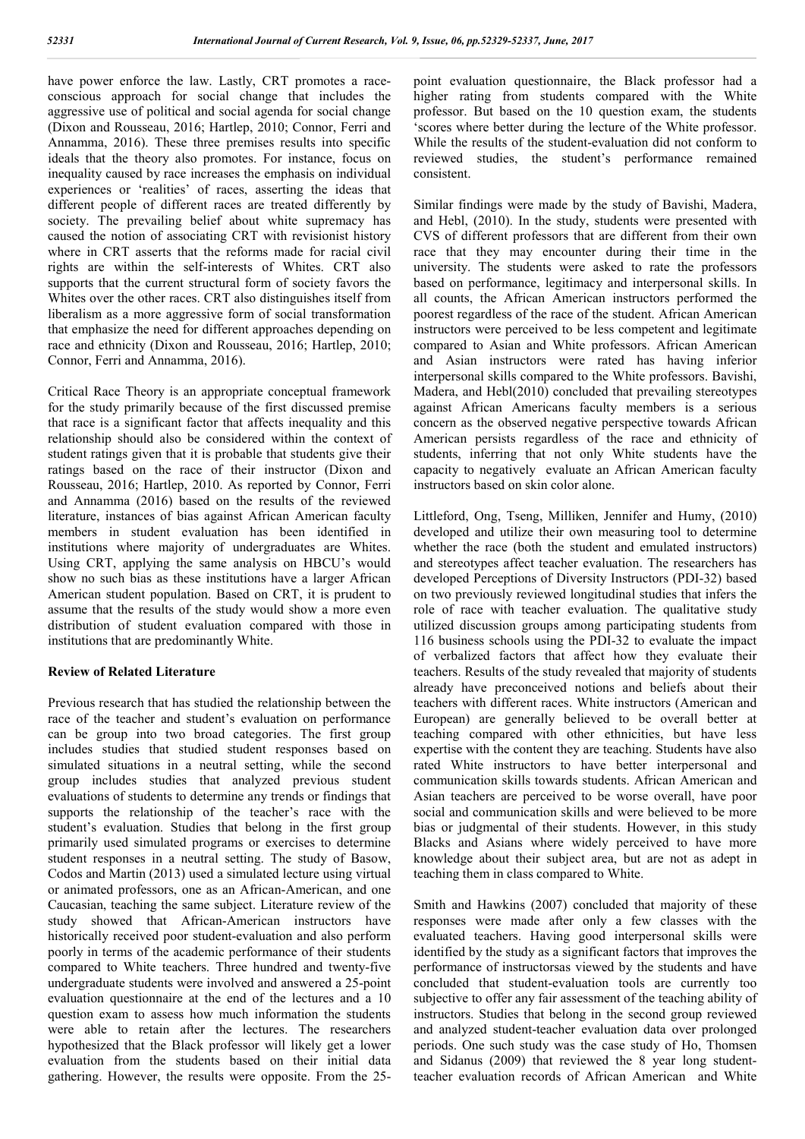have power enforce the law. Lastly, CRT promotes a raceconscious approach for social change that includes the aggressive use of political and social agenda for social change (Dixon and Rousseau, 2016; Hartlep, 2010; Connor, Ferri and Annamma, 2016). These three premises results into specific ideals that the theory also promotes. For instance, focus on inequality caused by race increases the emphasis on individual experiences or 'realities' of races, asserting the ideas that different people of different races are treated differently by society. The prevailing belief about white supremacy has caused the notion of associating CRT with revisionist history where in CRT asserts that the reforms made for racial civil rights are within the self-interests of Whites. CRT also supports that the current structural form of society favors the Whites over the other races. CRT also distinguishes itself from liberalism as a more aggressive form of social transformation that emphasize the need for different approaches depending on race and ethnicity (Dixon and Rousseau, 2016; Hartlep, 2010; Connor, Ferri and Annamma, 2016).

Critical Race Theory is an appropriate conceptual framework for the study primarily because of the first discussed premise that race is a significant factor that affects inequality and this relationship should also be considered within the context of student ratings given that it is probable that students give their ratings based on the race of their instructor (Dixon and Rousseau, 2016; Hartlep, 2010. As reported by Connor, Ferri and Annamma (2016) based on the results of the reviewed literature, instances of bias against African American faculty members in student evaluation has been identified in institutions where majority of undergraduates are Whites. Using CRT, applying the same analysis on HBCU's would show no such bias as these institutions have a larger African American student population. Based on CRT, it is prudent to assume that the results of the study would show a more even distribution of student evaluation compared with those in institutions that are predominantly White.

## **Review of Related Literature**

Previous research that has studied the relationship between the race of the teacher and student's evaluation on performance can be group into two broad categories. The first group includes studies that studied student responses based on simulated situations in a neutral setting, while the second group includes studies that analyzed previous student evaluations of students to determine any trends or findings that supports the relationship of the teacher's race with the student's evaluation. Studies that belong in the first group primarily used simulated programs or exercises to determine student responses in a neutral setting. The study of Basow, Codos and Martin (2013) used a simulated lecture using virtual or animated professors, one as an African-American, and one Caucasian, teaching the same subject. Literature review of the study showed that African-American instructors have historically received poor student-evaluation and also perform poorly in terms of the academic performance of their students compared to White teachers. Three hundred and twenty-five undergraduate students were involved and answered a 25-point evaluation questionnaire at the end of the lectures and a 10 question exam to assess how much information the students were able to retain after the lectures. The researchers hypothesized that the Black professor will likely get a lower evaluation from the students based on their initial data gathering. However, the results were opposite. From the 25point evaluation questionnaire, the Black professor had a higher rating from students compared with the White professor. But based on the 10 question exam, the students 'scores where better during the lecture of the White professor. While the results of the student-evaluation did not conform to reviewed studies, the student's performance remained consistent.

Similar findings were made by the study of Bavishi, Madera, and Hebl, (2010). In the study, students were presented with CVS of different professors that are different from their own race that they may encounter during their time in the university. The students were asked to rate the professors based on performance, legitimacy and interpersonal skills. In all counts, the African American instructors performed the poorest regardless of the race of the student. African American instructors were perceived to be less competent and legitimate compared to Asian and White professors. African American and Asian instructors were rated has having inferior interpersonal skills compared to the White professors. Bavishi, Madera, and Hebl(2010) concluded that prevailing stereotypes against African Americans faculty members is a serious concern as the observed negative perspective towards African American persists regardless of the race and ethnicity of students, inferring that not only White students have the capacity to negatively evaluate an African American faculty instructors based on skin color alone.

Littleford, Ong, Tseng, Milliken, Jennifer and Humy, (2010) developed and utilize their own measuring tool to determine whether the race (both the student and emulated instructors) and stereotypes affect teacher evaluation. The researchers has developed Perceptions of Diversity Instructors (PDI-32) based on two previously reviewed longitudinal studies that infers the role of race with teacher evaluation. The qualitative study utilized discussion groups among participating students from 116 business schools using the PDI-32 to evaluate the impact of verbalized factors that affect how they evaluate their teachers. Results of the study revealed that majority of students already have preconceived notions and beliefs about their teachers with different races. White instructors (American and European) are generally believed to be overall better at teaching compared with other ethnicities, but have less expertise with the content they are teaching. Students have also rated White instructors to have better interpersonal and communication skills towards students. African American and Asian teachers are perceived to be worse overall, have poor social and communication skills and were believed to be more bias or judgmental of their students. However, in this study Blacks and Asians where widely perceived to have more knowledge about their subject area, but are not as adept in teaching them in class compared to White.

Smith and Hawkins (2007) concluded that majority of these responses were made after only a few classes with the evaluated teachers. Having good interpersonal skills were identified by the study as a significant factors that improves the performance of instructorsas viewed by the students and have concluded that student-evaluation tools are currently too subjective to offer any fair assessment of the teaching ability of instructors. Studies that belong in the second group reviewed and analyzed student-teacher evaluation data over prolonged periods. One such study was the case study of Ho, Thomsen and Sidanus (2009) that reviewed the 8 year long studentteacher evaluation records of African American and White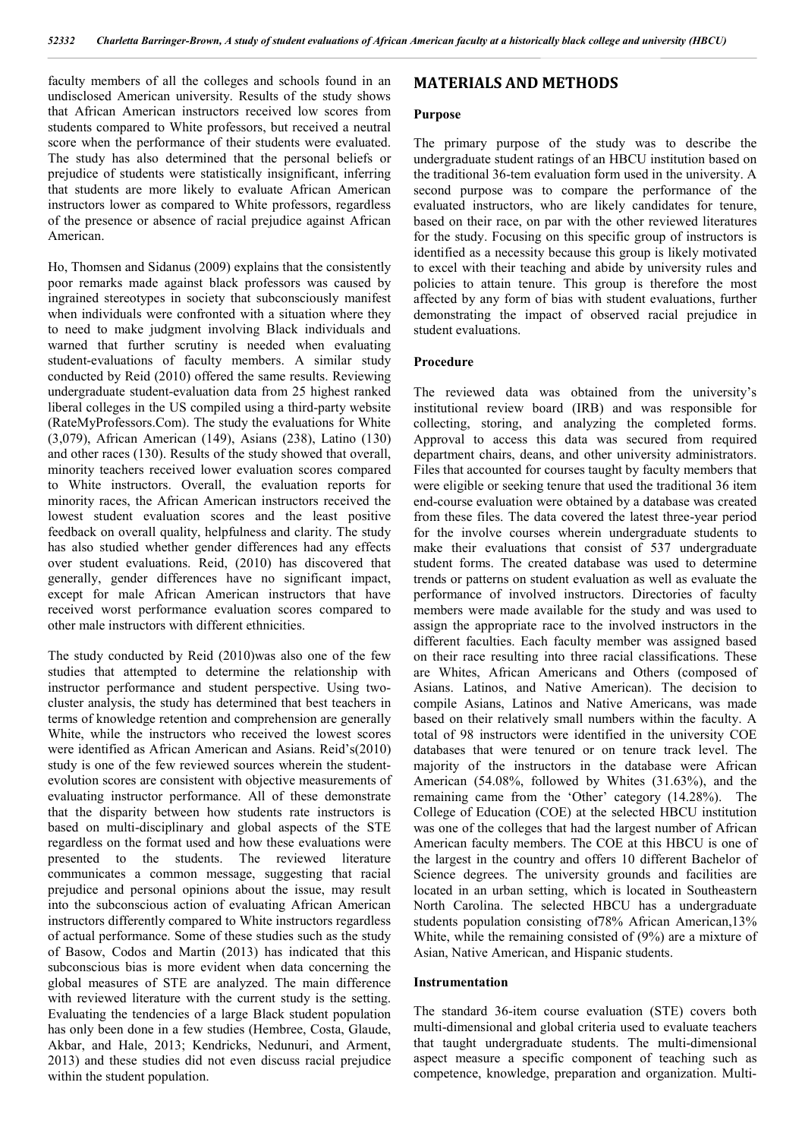faculty members of all the colleges and schools found in an undisclosed American university. Results of the study shows that African American instructors received low scores from students compared to White professors, but received a neutral score when the performance of their students were evaluated. The study has also determined that the personal beliefs or prejudice of students were statistically insignificant, inferring that students are more likely to evaluate African American instructors lower as compared to White professors, regardless of the presence or absence of racial prejudice against African American.

Ho, Thomsen and Sidanus (2009) explains that the consistently poor remarks made against black professors was caused by ingrained stereotypes in society that subconsciously manifest when individuals were confronted with a situation where they to need to make judgment involving Black individuals and warned that further scrutiny is needed when evaluating student-evaluations of faculty members. A similar study conducted by Reid (2010) offered the same results. Reviewing undergraduate student-evaluation data from 25 highest ranked liberal colleges in the US compiled using a third-party website (RateMyProfessors.Com). The study the evaluations for White (3,079), African American (149), Asians (238), Latino (130) and other races (130). Results of the study showed that overall, minority teachers received lower evaluation scores compared to White instructors. Overall, the evaluation reports for minority races, the African American instructors received the lowest student evaluation scores and the least positive feedback on overall quality, helpfulness and clarity. The study has also studied whether gender differences had any effects over student evaluations. Reid, (2010) has discovered that generally, gender differences have no significant impact, except for male African American instructors that have received worst performance evaluation scores compared to other male instructors with different ethnicities.

The study conducted by Reid (2010)was also one of the few studies that attempted to determine the relationship with instructor performance and student perspective. Using twocluster analysis, the study has determined that best teachers in terms of knowledge retention and comprehension are generally White, while the instructors who received the lowest scores were identified as African American and Asians. Reid's(2010) study is one of the few reviewed sources wherein the studentevolution scores are consistent with objective measurements of evaluating instructor performance. All of these demonstrate that the disparity between how students rate instructors is based on multi-disciplinary and global aspects of the STE regardless on the format used and how these evaluations were presented to the students. The reviewed literature communicates a common message, suggesting that racial prejudice and personal opinions about the issue, may result into the subconscious action of evaluating African American instructors differently compared to White instructors regardless of actual performance. Some of these studies such as the study of Basow, Codos and Martin (2013) has indicated that this subconscious bias is more evident when data concerning the global measures of STE are analyzed. The main difference with reviewed literature with the current study is the setting. Evaluating the tendencies of a large Black student population has only been done in a few studies (Hembree, Costa, Glaude, Akbar, and Hale, 2013; Kendricks, Nedunuri, and Arment, 2013) and these studies did not even discuss racial prejudice within the student population.

# **MATERIALS AND METHODS**

#### **Purpose**

The primary purpose of the study was to describe the undergraduate student ratings of an HBCU institution based on the traditional 36-tem evaluation form used in the university. A second purpose was to compare the performance of the evaluated instructors, who are likely candidates for tenure, based on their race, on par with the other reviewed literatures for the study. Focusing on this specific group of instructors is identified as a necessity because this group is likely motivated to excel with their teaching and abide by university rules and policies to attain tenure. This group is therefore the most affected by any form of bias with student evaluations, further demonstrating the impact of observed racial prejudice in student evaluations.

## **Procedure**

The reviewed data was obtained from the university's institutional review board (IRB) and was responsible for collecting, storing, and analyzing the completed forms. Approval to access this data was secured from required department chairs, deans, and other university administrators. Files that accounted for courses taught by faculty members that were eligible or seeking tenure that used the traditional 36 item end-course evaluation were obtained by a database was created from these files. The data covered the latest three-year period for the involve courses wherein undergraduate students to make their evaluations that consist of 537 undergraduate student forms. The created database was used to determine trends or patterns on student evaluation as well as evaluate the performance of involved instructors. Directories of faculty members were made available for the study and was used to assign the appropriate race to the involved instructors in the different faculties. Each faculty member was assigned based on their race resulting into three racial classifications. These are Whites, African Americans and Others (composed of Asians. Latinos, and Native American). The decision to compile Asians, Latinos and Native Americans, was made based on their relatively small numbers within the faculty. A total of 98 instructors were identified in the university COE databases that were tenured or on tenure track level. The majority of the instructors in the database were African American (54.08%, followed by Whites (31.63%), and the remaining came from the 'Other' category (14.28%). The College of Education (COE) at the selected HBCU institution was one of the colleges that had the largest number of African American faculty members. The COE at this HBCU is one of the largest in the country and offers 10 different Bachelor of Science degrees. The university grounds and facilities are located in an urban setting, which is located in Southeastern North Carolina. The selected HBCU has a undergraduate students population consisting of78% African American,13% White, while the remaining consisted of (9%) are a mixture of Asian, Native American, and Hispanic students.

#### **Instrumentation**

The standard 36-item course evaluation (STE) covers both multi-dimensional and global criteria used to evaluate teachers that taught undergraduate students. The multi-dimensional aspect measure a specific component of teaching such as competence, knowledge, preparation and organization. Multi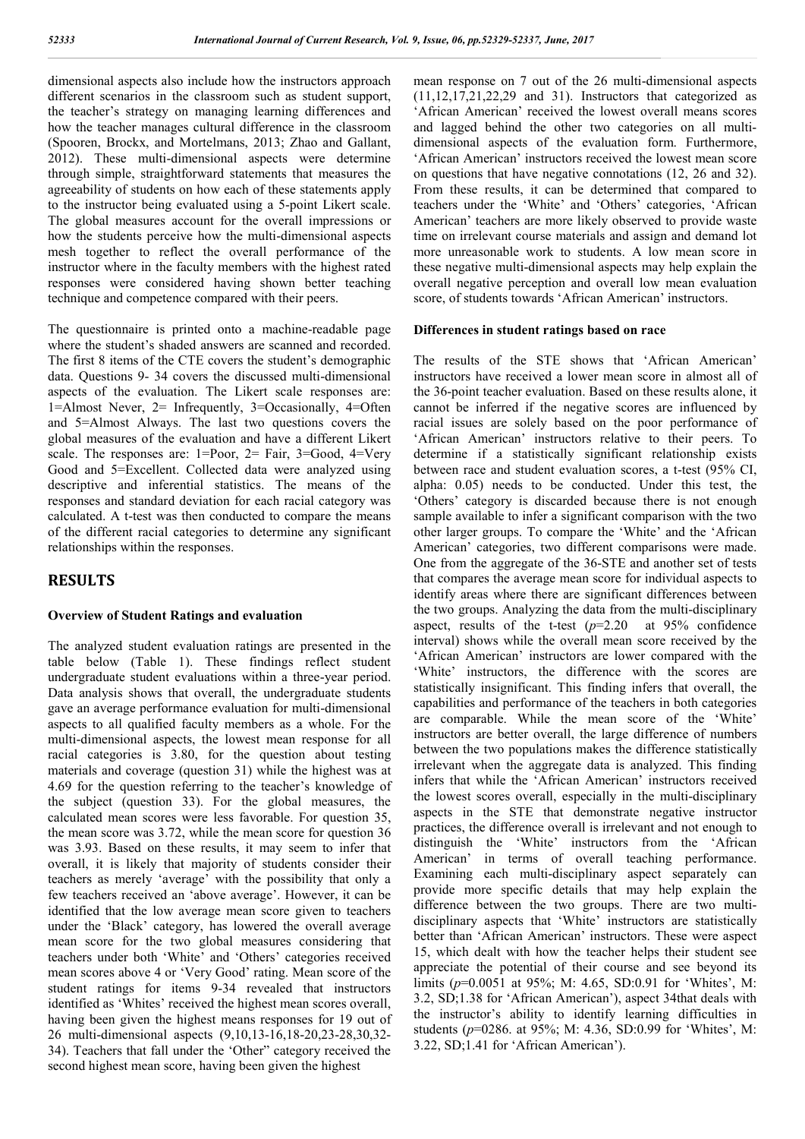dimensional aspects also include how the instructors approach different scenarios in the classroom such as student support, the teacher's strategy on managing learning differences and how the teacher manages cultural difference in the classroom (Spooren, Brockx, and Mortelmans, 2013; Zhao and Gallant, 2012). These multi-dimensional aspects were determine through simple, straightforward statements that measures the agreeability of students on how each of these statements apply to the instructor being evaluated using a 5-point Likert scale. The global measures account for the overall impressions or how the students perceive how the multi-dimensional aspects mesh together to reflect the overall performance of the instructor where in the faculty members with the highest rated responses were considered having shown better teaching technique and competence compared with their peers.

The questionnaire is printed onto a machine-readable page where the student's shaded answers are scanned and recorded. The first 8 items of the CTE covers the student's demographic data. Questions 9- 34 covers the discussed multi-dimensional aspects of the evaluation. The Likert scale responses are: 1=Almost Never, 2= Infrequently, 3=Occasionally, 4=Often and 5=Almost Always. The last two questions covers the global measures of the evaluation and have a different Likert scale. The responses are: 1=Poor, 2= Fair, 3=Good, 4=Very Good and 5=Excellent. Collected data were analyzed using descriptive and inferential statistics. The means of the responses and standard deviation for each racial category was calculated. A t-test was then conducted to compare the means of the different racial categories to determine any significant relationships within the responses.

# **RESULTS**

# **Overview of Student Ratings and evaluation**

The analyzed student evaluation ratings are presented in the table below (Table 1). These findings reflect student undergraduate student evaluations within a three-year period. Data analysis shows that overall, the undergraduate students gave an average performance evaluation for multi-dimensional aspects to all qualified faculty members as a whole. For the multi-dimensional aspects, the lowest mean response for all racial categories is 3.80, for the question about testing materials and coverage (question 31) while the highest was at 4.69 for the question referring to the teacher's knowledge of the subject (question 33). For the global measures, the calculated mean scores were less favorable. For question 35, the mean score was 3.72, while the mean score for question 36 was 3.93. Based on these results, it may seem to infer that overall, it is likely that majority of students consider their teachers as merely 'average' with the possibility that only a few teachers received an 'above average'. However, it can be identified that the low average mean score given to teachers under the 'Black' category, has lowered the overall average mean score for the two global measures considering that teachers under both 'White' and 'Others' categories received mean scores above 4 or 'Very Good' rating. Mean score of the student ratings for items 9-34 revealed that instructors identified as 'Whites' received the highest mean scores overall, having been given the highest means responses for 19 out of 26 multi-dimensional aspects (9,10,13-16,18-20,23-28,30,32- 34). Teachers that fall under the 'Other" category received the second highest mean score, having been given the highest

mean response on 7 out of the 26 multi-dimensional aspects (11,12,17,21,22,29 and 31). Instructors that categorized as 'African American' received the lowest overall means scores and lagged behind the other two categories on all multidimensional aspects of the evaluation form. Furthermore, 'African American' instructors received the lowest mean score on questions that have negative connotations (12, 26 and 32). From these results, it can be determined that compared to teachers under the 'White' and 'Others' categories, 'African American' teachers are more likely observed to provide waste time on irrelevant course materials and assign and demand lot more unreasonable work to students. A low mean score in these negative multi-dimensional aspects may help explain the overall negative perception and overall low mean evaluation score, of students towards 'African American' instructors.

# **Differences in student ratings based on race**

The results of the STE shows that 'African American' instructors have received a lower mean score in almost all of the 36-point teacher evaluation. Based on these results alone, it cannot be inferred if the negative scores are influenced by racial issues are solely based on the poor performance of 'African American' instructors relative to their peers. To determine if a statistically significant relationship exists between race and student evaluation scores, a t-test (95% CI, alpha: 0.05) needs to be conducted. Under this test, the 'Others' category is discarded because there is not enough sample available to infer a significant comparison with the two other larger groups. To compare the 'White' and the 'African American' categories, two different comparisons were made. One from the aggregate of the 36-STE and another set of tests that compares the average mean score for individual aspects to identify areas where there are significant differences between the two groups. Analyzing the data from the multi-disciplinary aspect, results of the t-test (*p*=2.20 at 95% confidence interval) shows while the overall mean score received by the 'African American' instructors are lower compared with the 'White' instructors, the difference with the scores are statistically insignificant. This finding infers that overall, the capabilities and performance of the teachers in both categories are comparable. While the mean score of the 'White' instructors are better overall, the large difference of numbers between the two populations makes the difference statistically irrelevant when the aggregate data is analyzed. This finding infers that while the 'African American' instructors received the lowest scores overall, especially in the multi-disciplinary aspects in the STE that demonstrate negative instructor practices, the difference overall is irrelevant and not enough to distinguish the 'White' instructors from the 'African American' in terms of overall teaching performance. Examining each multi-disciplinary aspect separately can provide more specific details that may help explain the difference between the two groups. There are two multidisciplinary aspects that 'White' instructors are statistically better than 'African American' instructors. These were aspect 15, which dealt with how the teacher helps their student see appreciate the potential of their course and see beyond its limits (*p*=0.0051 at 95%; M: 4.65, SD:0.91 for 'Whites', M: 3.2, SD;1.38 for 'African American'), aspect 34that deals with the instructor's ability to identify learning difficulties in students (*p*=0286. at 95%; M: 4.36, SD:0.99 for 'Whites', M: 3.22, SD;1.41 for 'African American').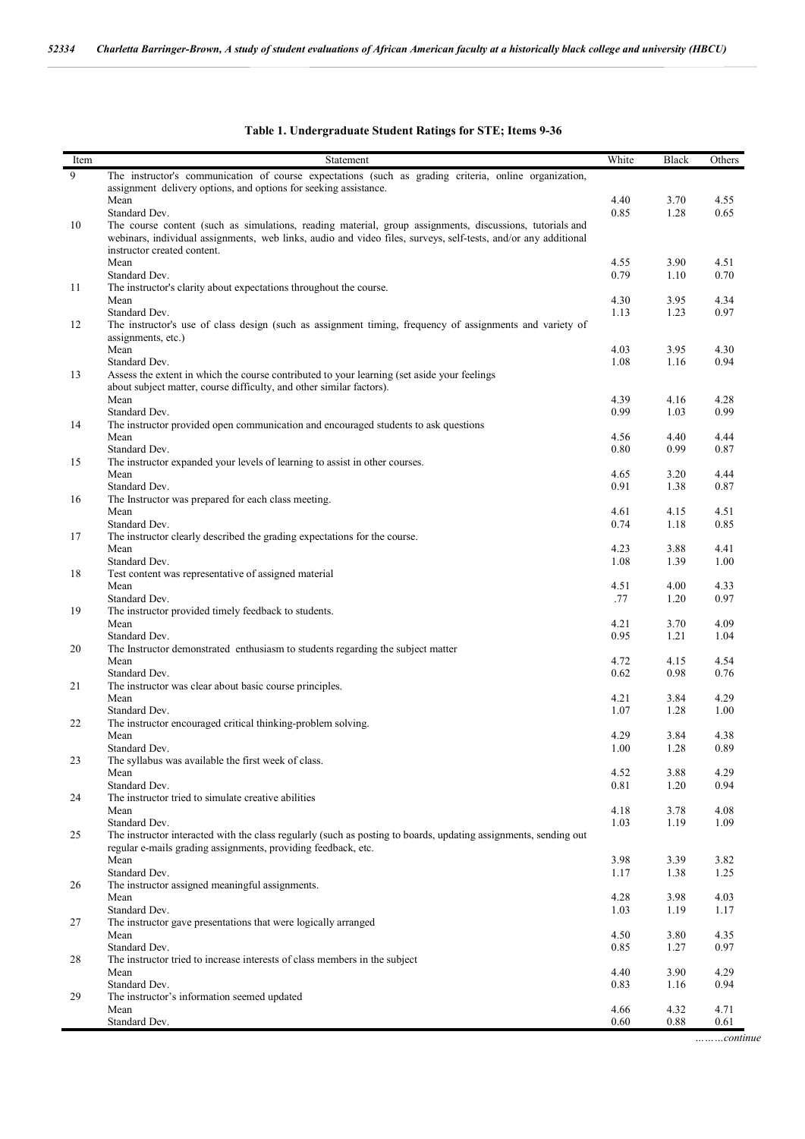| Table 1. Undergraduate Student Ratings for STE; Items 9-36 |  |
|------------------------------------------------------------|--|
|                                                            |  |
|                                                            |  |

| Item | Statement                                                                                                                                                                                                                  | White        | Black | Others |
|------|----------------------------------------------------------------------------------------------------------------------------------------------------------------------------------------------------------------------------|--------------|-------|--------|
| 9    | The instructor's communication of course expectations (such as grading criteria, online organization,                                                                                                                      |              |       |        |
|      | assignment delivery options, and options for seeking assistance.                                                                                                                                                           |              |       |        |
|      | Mean                                                                                                                                                                                                                       | 4.40         | 3.70  | 4.55   |
|      | Standard Dev.                                                                                                                                                                                                              | 0.85         | 1.28  | 0.65   |
| 10   | The course content (such as simulations, reading material, group assignments, discussions, tutorials and<br>webinars, individual assignments, web links, audio and video files, surveys, self-tests, and/or any additional |              |       |        |
|      | instructor created content.                                                                                                                                                                                                |              |       |        |
|      | Mean                                                                                                                                                                                                                       | 4.55         | 3.90  | 4.51   |
|      | Standard Dev.                                                                                                                                                                                                              | 0.79         | 1.10  | 0.70   |
| 11   | The instructor's clarity about expectations throughout the course.<br>Mean                                                                                                                                                 | 4.30         | 3.95  | 4.34   |
|      | Standard Dev.                                                                                                                                                                                                              | 1.13         | 1.23  | 0.97   |
| 12   | The instructor's use of class design (such as assignment timing, frequency of assignments and variety of                                                                                                                   |              |       |        |
|      | assignments, etc.)                                                                                                                                                                                                         |              |       |        |
|      | Mean                                                                                                                                                                                                                       | 4.03         | 3.95  | 4.30   |
|      | Standard Dev.                                                                                                                                                                                                              | 1.08         | 1.16  | 0.94   |
| 13   | Assess the extent in which the course contributed to your learning (set aside your feelings                                                                                                                                |              |       |        |
|      | about subject matter, course difficulty, and other similar factors).                                                                                                                                                       |              |       |        |
|      | Mean                                                                                                                                                                                                                       | 4.39         | 4.16  | 4.28   |
|      | Standard Dev.                                                                                                                                                                                                              | 0.99         | 1.03  | 0.99   |
| 14   | The instructor provided open communication and encouraged students to ask questions                                                                                                                                        |              |       |        |
|      | Mean                                                                                                                                                                                                                       | 4.56         | 4.40  | 4.44   |
|      | Standard Dev.                                                                                                                                                                                                              | 0.80         | 0.99  | 0.87   |
| 15   | The instructor expanded your levels of learning to assist in other courses.                                                                                                                                                |              |       |        |
|      | Mean<br>Standard Dev.                                                                                                                                                                                                      | 4.65<br>0.91 | 3.20  | 4.44   |
| 16   | The Instructor was prepared for each class meeting.                                                                                                                                                                        |              | 1.38  | 0.87   |
|      | Mean                                                                                                                                                                                                                       | 4.61         | 4.15  | 4.51   |
|      | Standard Dev.                                                                                                                                                                                                              | 0.74         | 1.18  | 0.85   |
| 17   | The instructor clearly described the grading expectations for the course.                                                                                                                                                  |              |       |        |
|      | Mean                                                                                                                                                                                                                       | 4.23         | 3.88  | 4.41   |
|      | Standard Dev.                                                                                                                                                                                                              | 1.08         | 1.39  | 1.00   |
| 18   | Test content was representative of assigned material                                                                                                                                                                       |              |       |        |
|      | Mean                                                                                                                                                                                                                       | 4.51         | 4.00  | 4.33   |
|      | Standard Dev.                                                                                                                                                                                                              | .77          | 1.20  | 0.97   |
| 19   | The instructor provided timely feedback to students.                                                                                                                                                                       |              |       |        |
|      | Mean                                                                                                                                                                                                                       | 4.21         | 3.70  | 4.09   |
|      | Standard Dev.                                                                                                                                                                                                              | 0.95         | 1.21  | 1.04   |
| 20   | The Instructor demonstrated enthusiasm to students regarding the subject matter<br>Mean                                                                                                                                    | 4.72         | 4.15  | 4.54   |
|      | Standard Dev.                                                                                                                                                                                                              | 0.62         | 0.98  | 0.76   |
| 21   | The instructor was clear about basic course principles.                                                                                                                                                                    |              |       |        |
|      | Mean                                                                                                                                                                                                                       | 4.21         | 3.84  | 4.29   |
|      | Standard Dev.                                                                                                                                                                                                              | 1.07         | 1.28  | 1.00   |
| 22   | The instructor encouraged critical thinking-problem solving.                                                                                                                                                               |              |       |        |
|      | Mean                                                                                                                                                                                                                       | 4.29         | 3.84  | 4.38   |
|      | Standard Dev.                                                                                                                                                                                                              | 1.00         | 1.28  | 0.89   |
| 23   | The syllabus was available the first week of class.                                                                                                                                                                        |              |       |        |
|      | Mean<br>Standard Dev.                                                                                                                                                                                                      | 4.52         | 3.88  | 4.29   |
| 24   | The instructor tried to simulate creative abilities                                                                                                                                                                        | 0.81         | 1.20  | 0.94   |
|      | Mean                                                                                                                                                                                                                       | 4.18         | 3.78  | 4.08   |
|      | Standard Dev.                                                                                                                                                                                                              | 1.03         | 1.19  | 1.09   |
| 25   | The instructor interacted with the class regularly (such as posting to boards, updating assignments, sending out                                                                                                           |              |       |        |
|      | regular e-mails grading assignments, providing feedback, etc.                                                                                                                                                              |              |       |        |
|      | Mean                                                                                                                                                                                                                       | 3.98         | 3.39  | 3.82   |
|      | Standard Dev.                                                                                                                                                                                                              | 1.17         | 1.38  | 1.25   |
| 26   | The instructor assigned meaningful assignments.                                                                                                                                                                            |              |       |        |
|      | Mean                                                                                                                                                                                                                       | 4.28         | 3.98  | 4.03   |
|      | Standard Dev.                                                                                                                                                                                                              | 1.03         | 1.19  | 1.17   |
| 27   | The instructor gave presentations that were logically arranged                                                                                                                                                             |              |       |        |
|      | Mean                                                                                                                                                                                                                       | 4.50         | 3.80  | 4.35   |
|      | Standard Dev.                                                                                                                                                                                                              | 0.85         | 1.27  | 0.97   |
| 28   | The instructor tried to increase interests of class members in the subject<br>Mean                                                                                                                                         | 4.40         | 3.90  | 4.29   |
|      | Standard Dev.                                                                                                                                                                                                              | 0.83         | 1.16  | 0.94   |
| 29   | The instructor's information seemed updated                                                                                                                                                                                |              |       |        |
|      | Mean                                                                                                                                                                                                                       | 4.66         | 4.32  | 4.71   |
|      | Standard Dev.                                                                                                                                                                                                              | 0.60         | 0.88  | 0.61   |
|      |                                                                                                                                                                                                                            |              |       |        |

*………continue*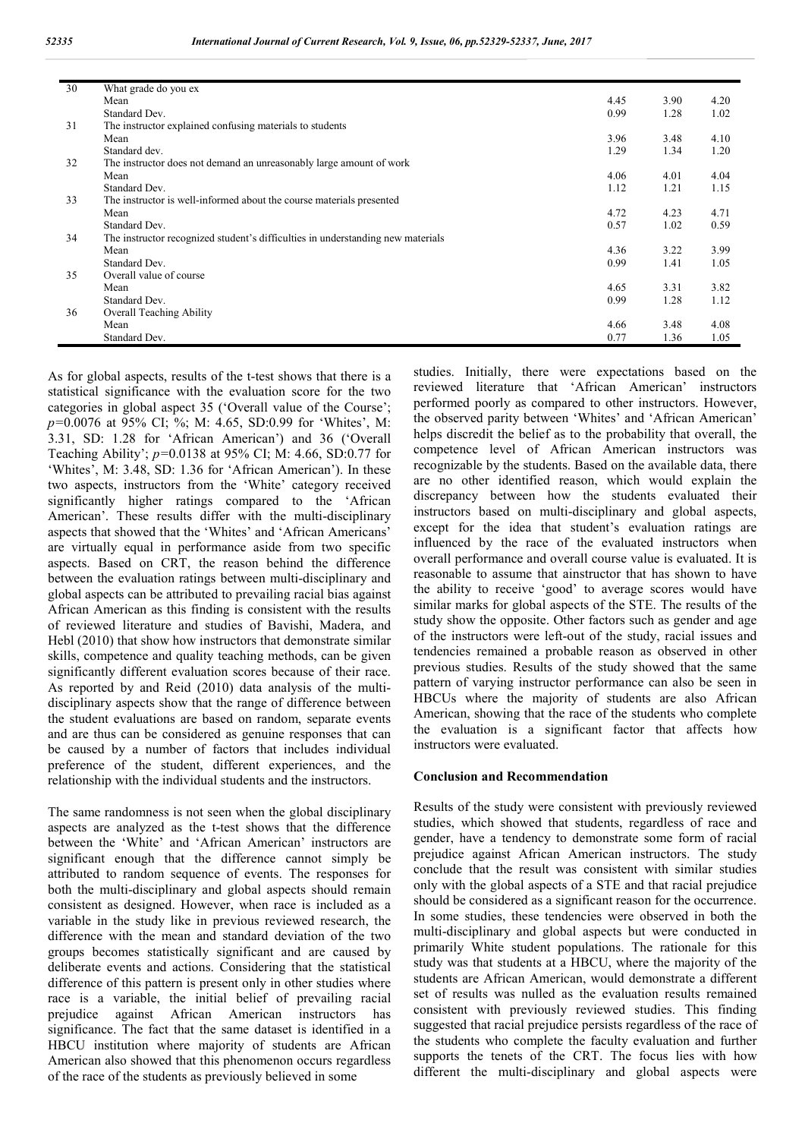| 30 | What grade do you ex                                                            |      |      |      |
|----|---------------------------------------------------------------------------------|------|------|------|
|    | Mean                                                                            | 4.45 | 3.90 | 4.20 |
|    | Standard Dev.                                                                   | 0.99 | 1.28 | 1.02 |
| 31 | The instructor explained confusing materials to students                        |      |      |      |
|    | Mean                                                                            | 3.96 | 3.48 | 4.10 |
|    | Standard dev.                                                                   | 1.29 | 1.34 | 1.20 |
| 32 | The instructor does not demand an unreasonably large amount of work             |      |      |      |
|    | Mean                                                                            | 4.06 | 4.01 | 4.04 |
|    | Standard Dev.                                                                   | 1.12 | 1.21 | 1.15 |
| 33 | The instructor is well-informed about the course materials presented            |      |      |      |
|    | Mean                                                                            | 4.72 | 4.23 | 4.71 |
|    | Standard Dev.                                                                   | 0.57 | 1.02 | 0.59 |
| 34 | The instructor recognized student's difficulties in understanding new materials |      |      |      |
|    | Mean                                                                            | 4.36 | 3.22 | 3.99 |
|    | Standard Dev.                                                                   | 0.99 | 1.41 | 1.05 |
| 35 | Overall value of course                                                         |      |      |      |
|    | Mean                                                                            | 4.65 | 3.31 | 3.82 |
|    | Standard Dev.                                                                   | 0.99 | 1.28 | 1.12 |
| 36 | Overall Teaching Ability                                                        |      |      |      |
|    | Mean                                                                            | 4.66 | 3.48 | 4.08 |
|    | Standard Dev.                                                                   | 0.77 | 1.36 | 1.05 |

As for global aspects, results of the t-test shows that there is a statistical significance with the evaluation score for the two categories in global aspect 35 ('Overall value of the Course'; *p=*0.0076 at 95% CI; %; M: 4.65, SD:0.99 for 'Whites', M: 3.31, SD: 1.28 for 'African American') and 36 ('Overall Teaching Ability'; *p=*0.0138 at 95% CI; M: 4.66, SD:0.77 for 'Whites', M: 3.48, SD: 1.36 for 'African American'). In these two aspects, instructors from the 'White' category received significantly higher ratings compared to the 'African American'. These results differ with the multi-disciplinary aspects that showed that the 'Whites' and 'African Americans' are virtually equal in performance aside from two specific aspects. Based on CRT, the reason behind the difference between the evaluation ratings between multi-disciplinary and global aspects can be attributed to prevailing racial bias against African American as this finding is consistent with the results of reviewed literature and studies of Bavishi, Madera, and Hebl (2010) that show how instructors that demonstrate similar skills, competence and quality teaching methods, can be given significantly different evaluation scores because of their race. As reported by and Reid (2010) data analysis of the multidisciplinary aspects show that the range of difference between the student evaluations are based on random, separate events and are thus can be considered as genuine responses that can be caused by a number of factors that includes individual preference of the student, different experiences, and the relationship with the individual students and the instructors.

The same randomness is not seen when the global disciplinary aspects are analyzed as the t-test shows that the difference between the 'White' and 'African American' instructors are significant enough that the difference cannot simply be attributed to random sequence of events. The responses for both the multi-disciplinary and global aspects should remain consistent as designed. However, when race is included as a variable in the study like in previous reviewed research, the difference with the mean and standard deviation of the two groups becomes statistically significant and are caused by deliberate events and actions. Considering that the statistical difference of this pattern is present only in other studies where race is a variable, the initial belief of prevailing racial prejudice against African American instructors has significance. The fact that the same dataset is identified in a HBCU institution where majority of students are African American also showed that this phenomenon occurs regardless of the race of the students as previously believed in some

studies. Initially, there were expectations based on the reviewed literature that 'African American' instructors performed poorly as compared to other instructors. However, the observed parity between 'Whites' and 'African American' helps discredit the belief as to the probability that overall, the competence level of African American instructors was recognizable by the students. Based on the available data, there are no other identified reason, which would explain the discrepancy between how the students evaluated their instructors based on multi-disciplinary and global aspects, except for the idea that student's evaluation ratings are influenced by the race of the evaluated instructors when overall performance and overall course value is evaluated. It is reasonable to assume that ainstructor that has shown to have the ability to receive 'good' to average scores would have similar marks for global aspects of the STE. The results of the study show the opposite. Other factors such as gender and age of the instructors were left-out of the study, racial issues and tendencies remained a probable reason as observed in other previous studies. Results of the study showed that the same pattern of varying instructor performance can also be seen in HBCUs where the majority of students are also African American, showing that the race of the students who complete the evaluation is a significant factor that affects how instructors were evaluated.

### **Conclusion and Recommendation**

Results of the study were consistent with previously reviewed studies, which showed that students, regardless of race and gender, have a tendency to demonstrate some form of racial prejudice against African American instructors. The study conclude that the result was consistent with similar studies only with the global aspects of a STE and that racial prejudice should be considered as a significant reason for the occurrence. In some studies, these tendencies were observed in both the multi-disciplinary and global aspects but were conducted in primarily White student populations. The rationale for this study was that students at a HBCU, where the majority of the students are African American, would demonstrate a different set of results was nulled as the evaluation results remained consistent with previously reviewed studies. This finding suggested that racial prejudice persists regardless of the race of the students who complete the faculty evaluation and further supports the tenets of the CRT. The focus lies with how different the multi-disciplinary and global aspects were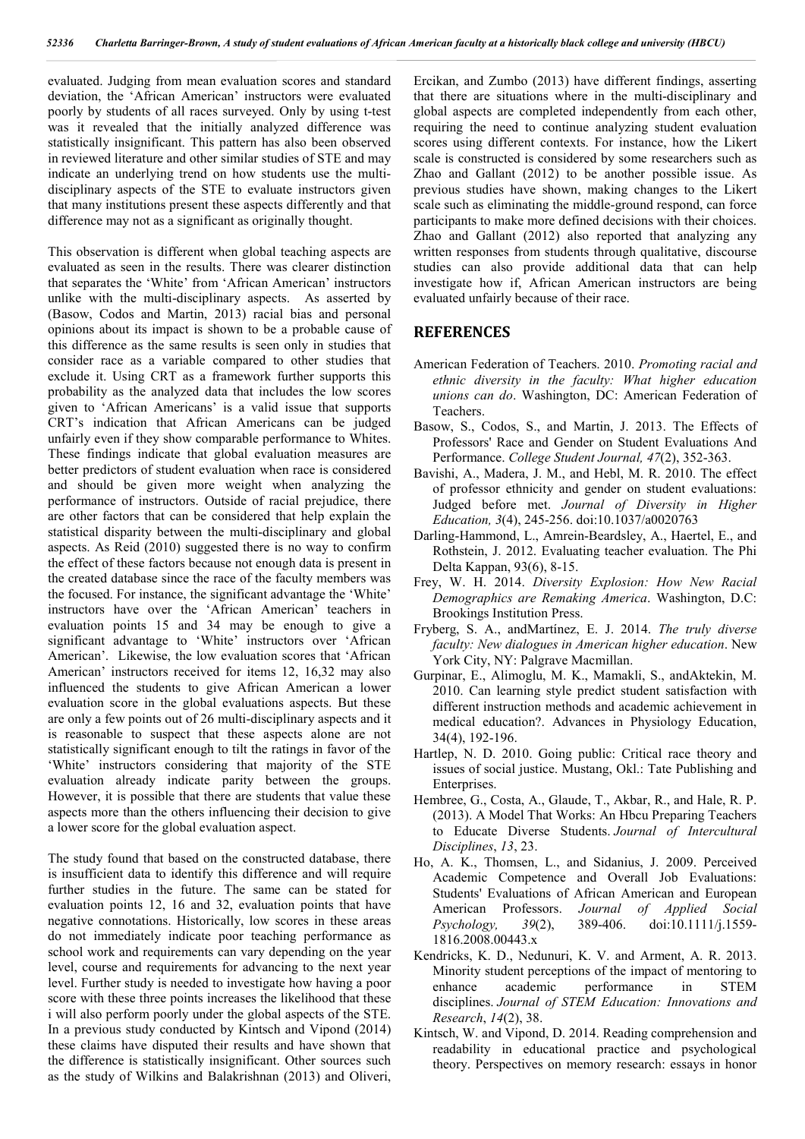evaluated. Judging from mean evaluation scores and standard deviation, the 'African American' instructors were evaluated poorly by students of all races surveyed. Only by using t-test was it revealed that the initially analyzed difference was statistically insignificant. This pattern has also been observed in reviewed literature and other similar studies of STE and may indicate an underlying trend on how students use the multidisciplinary aspects of the STE to evaluate instructors given that many institutions present these aspects differently and that difference may not as a significant as originally thought.

This observation is different when global teaching aspects are evaluated as seen in the results. There was clearer distinction that separates the 'White' from 'African American' instructors unlike with the multi-disciplinary aspects. As asserted by (Basow, Codos and Martin, 2013) racial bias and personal opinions about its impact is shown to be a probable cause of this difference as the same results is seen only in studies that consider race as a variable compared to other studies that exclude it. Using CRT as a framework further supports this probability as the analyzed data that includes the low scores given to 'African Americans' is a valid issue that supports CRT's indication that African Americans can be judged unfairly even if they show comparable performance to Whites. These findings indicate that global evaluation measures are better predictors of student evaluation when race is considered and should be given more weight when analyzing the performance of instructors. Outside of racial prejudice, there are other factors that can be considered that help explain the statistical disparity between the multi-disciplinary and global aspects. As Reid (2010) suggested there is no way to confirm the effect of these factors because not enough data is present in the created database since the race of the faculty members was the focused. For instance, the significant advantage the 'White' instructors have over the 'African American' teachers in evaluation points 15 and 34 may be enough to give a significant advantage to 'White' instructors over 'African American'. Likewise, the low evaluation scores that 'African American' instructors received for items 12, 16,32 may also influenced the students to give African American a lower evaluation score in the global evaluations aspects. But these are only a few points out of 26 multi-disciplinary aspects and it is reasonable to suspect that these aspects alone are not statistically significant enough to tilt the ratings in favor of the 'White' instructors considering that majority of the STE evaluation already indicate parity between the groups. However, it is possible that there are students that value these aspects more than the others influencing their decision to give a lower score for the global evaluation aspect.

The study found that based on the constructed database, there is insufficient data to identify this difference and will require further studies in the future. The same can be stated for evaluation points 12, 16 and 32, evaluation points that have negative connotations. Historically, low scores in these areas do not immediately indicate poor teaching performance as school work and requirements can vary depending on the year level, course and requirements for advancing to the next year level. Further study is needed to investigate how having a poor score with these three points increases the likelihood that these i will also perform poorly under the global aspects of the STE. In a previous study conducted by Kintsch and Vipond (2014) these claims have disputed their results and have shown that the difference is statistically insignificant. Other sources such as the study of Wilkins and Balakrishnan (2013) and Oliveri,

Ercikan, and Zumbo (2013) have different findings, asserting that there are situations where in the multi-disciplinary and global aspects are completed independently from each other, requiring the need to continue analyzing student evaluation scores using different contexts. For instance, how the Likert scale is constructed is considered by some researchers such as Zhao and Gallant (2012) to be another possible issue. As previous studies have shown, making changes to the Likert scale such as eliminating the middle-ground respond, can force participants to make more defined decisions with their choices. Zhao and Gallant (2012) also reported that analyzing any written responses from students through qualitative, discourse studies can also provide additional data that can help investigate how if, African American instructors are being evaluated unfairly because of their race.

# **REFERENCES**

- American Federation of Teachers. 2010. *Promoting racial and ethnic diversity in the faculty: What higher education unions can do*. Washington, DC: American Federation of Teachers.
- Basow, S., Codos, S., and Martin, J. 2013. The Effects of Professors' Race and Gender on Student Evaluations And Performance. *College Student Journal, 47*(2), 352-363.
- Bavishi, A., Madera, J. M., and Hebl, M. R. 2010. The effect of professor ethnicity and gender on student evaluations: Judged before met. *Journal of Diversity in Higher Education, 3*(4), 245-256. doi:10.1037/a0020763
- Darling-Hammond, L., Amrein-Beardsley, A., Haertel, E., and Rothstein, J. 2012. Evaluating teacher evaluation. The Phi Delta Kappan, 93(6), 8-15.
- Frey, W. H. 2014. *Diversity Explosion: How New Racial Demographics are Remaking America*. Washington, D.C: Brookings Institution Press.
- Fryberg, S. A., andMartínez, E. J. 2014. *The truly diverse faculty: New dialogues in American higher education*. New York City, NY: Palgrave Macmillan.
- Gurpinar, E., Alimoglu, M. K., Mamakli, S., andAktekin, M. 2010. Can learning style predict student satisfaction with different instruction methods and academic achievement in medical education?. Advances in Physiology Education, 34(4), 192-196.
- Hartlep, N. D. 2010. Going public: Critical race theory and issues of social justice. Mustang, Okl.: Tate Publishing and Enterprises.
- Hembree, G., Costa, A., Glaude, T., Akbar, R., and Hale, R. P. (2013). A Model That Works: An Hbcu Preparing Teachers to Educate Diverse Students. *Journal of Intercultural Disciplines*, *13*, 23.
- Ho, A. K., Thomsen, L., and Sidanius, J. 2009. Perceived Academic Competence and Overall Job Evaluations: Students' Evaluations of African American and European American Professors. *Journal of Applied Social Psychology, 39*(2), 389-406. doi:10.1111/j.1559- 1816.2008.00443.x
- Kendricks, K. D., Nedunuri, K. V. and Arment, A. R. 2013. Minority student perceptions of the impact of mentoring to enhance academic performance in STEM disciplines. *Journal of STEM Education: Innovations and Research*, *14*(2), 38.
- Kintsch, W. and Vipond, D. 2014. Reading comprehension and readability in educational practice and psychological theory. Perspectives on memory research: essays in honor